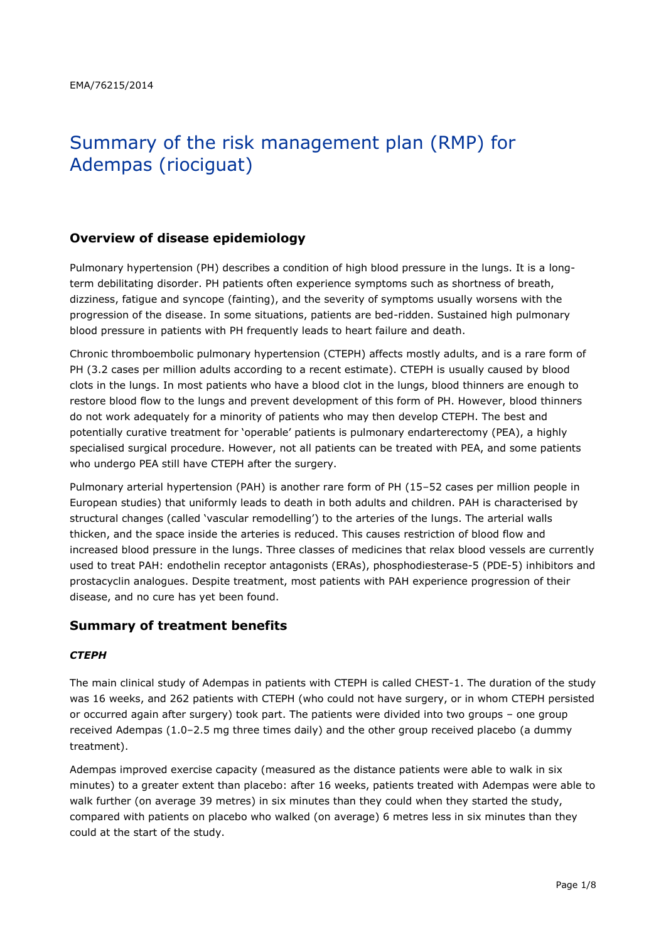# Summary of the risk management plan (RMP) for Adempas (riociguat)

## **Overview of disease epidemiology**

Pulmonary hypertension (PH) describes a condition of high blood pressure in the lungs. It is a longterm debilitating disorder. PH patients often experience symptoms such as shortness of breath, dizziness, fatigue and syncope (fainting), and the severity of symptoms usually worsens with the progression of the disease. In some situations, patients are bed-ridden. Sustained high pulmonary blood pressure in patients with PH frequently leads to heart failure and death.

Chronic thromboembolic pulmonary hypertension (CTEPH) affects mostly adults, and is a rare form of PH (3.2 cases per million adults according to a recent estimate). CTEPH is usually caused by blood clots in the lungs. In most patients who have a blood clot in the lungs, blood thinners are enough to restore blood flow to the lungs and prevent development of this form of PH. However, blood thinners do not work adequately for a minority of patients who may then develop CTEPH. The best and potentially curative treatment for 'operable' patients is pulmonary endarterectomy (PEA), a highly specialised surgical procedure. However, not all patients can be treated with PEA, and some patients who undergo PEA still have CTEPH after the surgery.

Pulmonary arterial hypertension (PAH) is another rare form of PH (15–52 cases per million people in European studies) that uniformly leads to death in both adults and children. PAH is characterised by structural changes (called 'vascular remodelling') to the arteries of the lungs. The arterial walls thicken, and the space inside the arteries is reduced. This causes restriction of blood flow and increased blood pressure in the lungs. Three classes of medicines that relax blood vessels are currently used to treat PAH: endothelin receptor antagonists (ERAs), phosphodiesterase-5 (PDE-5) inhibitors and prostacyclin analogues. Despite treatment, most patients with PAH experience progression of their disease, and no cure has yet been found.

## **Summary of treatment benefits**

#### *CTEPH*

The main clinical study of Adempas in patients with CTEPH is called CHEST-1. The duration of the study was 16 weeks, and 262 patients with CTEPH (who could not have surgery, or in whom CTEPH persisted or occurred again after surgery) took part. The patients were divided into two groups – one group received Adempas (1.0–2.5 mg three times daily) and the other group received placebo (a dummy treatment).

Adempas improved exercise capacity (measured as the distance patients were able to walk in six minutes) to a greater extent than placebo: after 16 weeks, patients treated with Adempas were able to walk further (on average 39 metres) in six minutes than they could when they started the study, compared with patients on placebo who walked (on average) 6 metres less in six minutes than they could at the start of the study.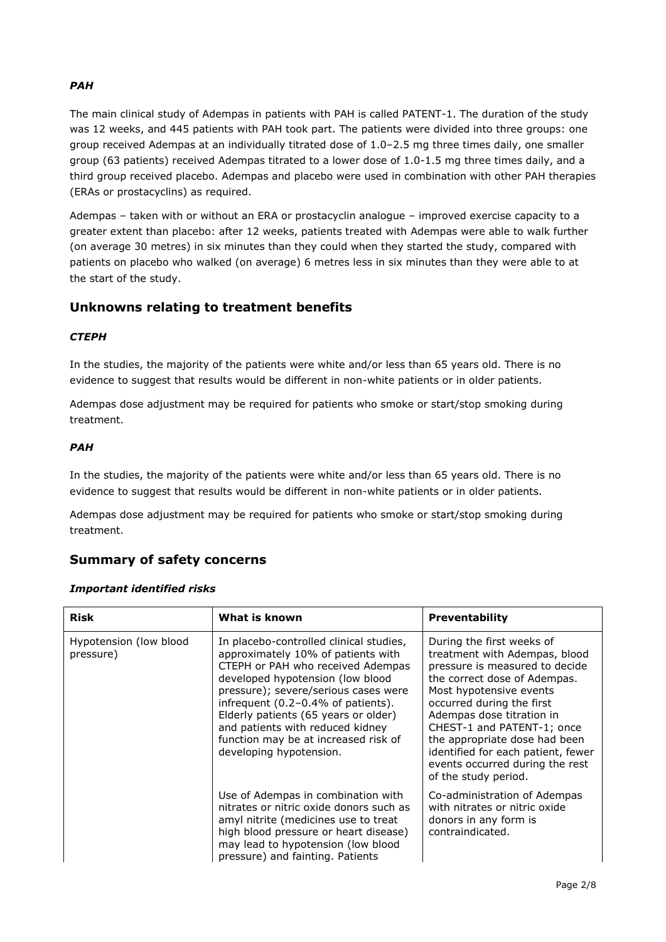## *PAH*

The main clinical study of Adempas in patients with PAH is called PATENT-1. The duration of the study was 12 weeks, and 445 patients with PAH took part. The patients were divided into three groups: one group received Adempas at an individually titrated dose of 1.0–2.5 mg three times daily, one smaller group (63 patients) received Adempas titrated to a lower dose of 1.0-1.5 mg three times daily, and a third group received placebo. Adempas and placebo were used in combination with other PAH therapies (ERAs or prostacyclins) as required.

Adempas – taken with or without an ERA or prostacyclin analogue – improved exercise capacity to a greater extent than placebo: after 12 weeks, patients treated with Adempas were able to walk further (on average 30 metres) in six minutes than they could when they started the study, compared with patients on placebo who walked (on average) 6 metres less in six minutes than they were able to at the start of the study.

# **Unknowns relating to treatment benefits**

## *CTEPH*

In the studies, the majority of the patients were white and/or less than 65 years old. There is no evidence to suggest that results would be different in non-white patients or in older patients.

Adempas dose adjustment may be required for patients who smoke or start/stop smoking during treatment.

## *PAH*

In the studies, the majority of the patients were white and/or less than 65 years old. There is no evidence to suggest that results would be different in non-white patients or in older patients.

Adempas dose adjustment may be required for patients who smoke or start/stop smoking during treatment.

## **Summary of safety concerns**

#### *Important identified risks*

| <b>Risk</b>                         | What is known                                                                                                                                                                                                                                                                                                                                                                       | <b>Preventability</b>                                                                                                                                                                                                                                                                                                                                                             |
|-------------------------------------|-------------------------------------------------------------------------------------------------------------------------------------------------------------------------------------------------------------------------------------------------------------------------------------------------------------------------------------------------------------------------------------|-----------------------------------------------------------------------------------------------------------------------------------------------------------------------------------------------------------------------------------------------------------------------------------------------------------------------------------------------------------------------------------|
| Hypotension (low blood<br>pressure) | In placebo-controlled clinical studies,<br>approximately 10% of patients with<br>CTEPH or PAH who received Adempas<br>developed hypotension (low blood<br>pressure); severe/serious cases were<br>infrequent (0.2-0.4% of patients).<br>Elderly patients (65 years or older)<br>and patients with reduced kidney<br>function may be at increased risk of<br>developing hypotension. | During the first weeks of<br>treatment with Adempas, blood<br>pressure is measured to decide<br>the correct dose of Adempas.<br>Most hypotensive events<br>occurred during the first<br>Adempas dose titration in<br>CHEST-1 and PATENT-1; once<br>the appropriate dose had been<br>identified for each patient, fewer<br>events occurred during the rest<br>of the study period. |
|                                     | Use of Adempas in combination with<br>nitrates or nitric oxide donors such as<br>amyl nitrite (medicines use to treat<br>high blood pressure or heart disease)<br>may lead to hypotension (low blood<br>pressure) and fainting. Patients                                                                                                                                            | Co-administration of Adempas<br>with nitrates or nitric oxide<br>donors in any form is<br>contraindicated.                                                                                                                                                                                                                                                                        |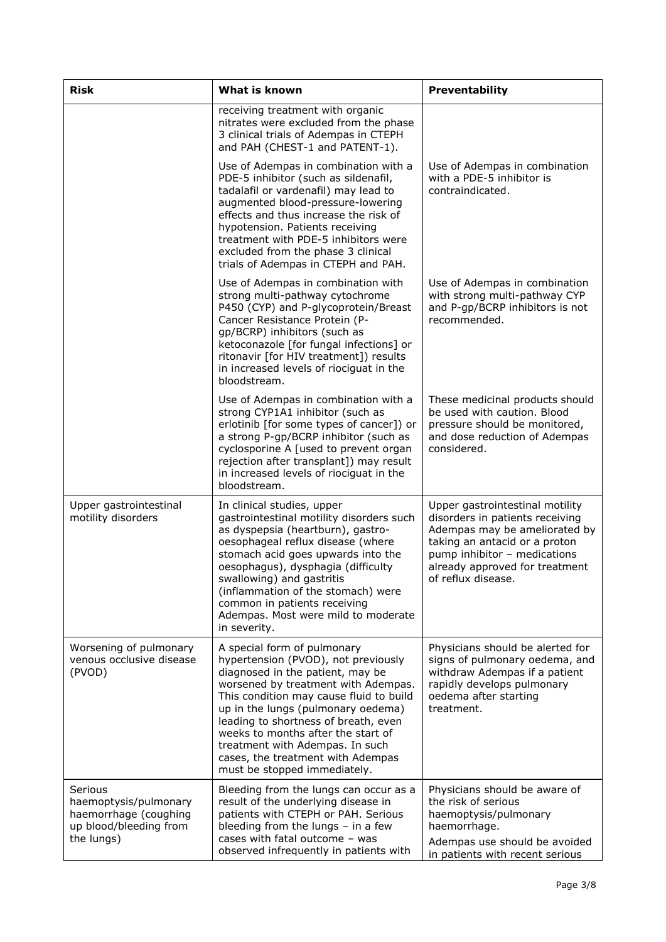| <b>Risk</b><br>What is known                                                                      |                                                                                                                                                                                                                                                                                                                                                                                                                      | <b>Preventability</b>                                                                                                                                                                                                        |  |
|---------------------------------------------------------------------------------------------------|----------------------------------------------------------------------------------------------------------------------------------------------------------------------------------------------------------------------------------------------------------------------------------------------------------------------------------------------------------------------------------------------------------------------|------------------------------------------------------------------------------------------------------------------------------------------------------------------------------------------------------------------------------|--|
|                                                                                                   | receiving treatment with organic<br>nitrates were excluded from the phase<br>3 clinical trials of Adempas in CTEPH<br>and PAH (CHEST-1 and PATENT-1).                                                                                                                                                                                                                                                                |                                                                                                                                                                                                                              |  |
|                                                                                                   | Use of Adempas in combination with a<br>PDE-5 inhibitor (such as sildenafil,<br>tadalafil or vardenafil) may lead to<br>augmented blood-pressure-lowering<br>effects and thus increase the risk of<br>hypotension. Patients receiving<br>treatment with PDE-5 inhibitors were<br>excluded from the phase 3 clinical<br>trials of Adempas in CTEPH and PAH.                                                           | Use of Adempas in combination<br>with a PDE-5 inhibitor is<br>contraindicated.                                                                                                                                               |  |
|                                                                                                   | Use of Adempas in combination with<br>strong multi-pathway cytochrome<br>P450 (CYP) and P-glycoprotein/Breast<br>Cancer Resistance Protein (P-<br>gp/BCRP) inhibitors (such as<br>ketoconazole [for fungal infections] or<br>ritonavir [for HIV treatment]) results<br>in increased levels of riociguat in the<br>bloodstream.                                                                                       | Use of Adempas in combination<br>with strong multi-pathway CYP<br>and P-gp/BCRP inhibitors is not<br>recommended.                                                                                                            |  |
|                                                                                                   | Use of Adempas in combination with a<br>strong CYP1A1 inhibitor (such as<br>erlotinib [for some types of cancer]) or<br>a strong P-gp/BCRP inhibitor (such as<br>cyclosporine A [used to prevent organ<br>rejection after transplant]) may result<br>in increased levels of riociguat in the<br>bloodstream.                                                                                                         | These medicinal products should<br>be used with caution. Blood<br>pressure should be monitored,<br>and dose reduction of Adempas<br>considered.                                                                              |  |
| Upper gastrointestinal<br>motility disorders                                                      | In clinical studies, upper<br>gastrointestinal motility disorders such<br>as dyspepsia (heartburn), gastro-<br>oesophageal reflux disease (where<br>stomach acid goes upwards into the<br>oesophagus), dysphagia (difficulty<br>swallowing) and gastritis<br>(inflammation of the stomach) were<br>common in patients receiving<br>Adempas. Most were mild to moderate<br>in severity.                               | Upper gastrointestinal motility<br>disorders in patients receiving<br>Adempas may be ameliorated by<br>taking an antacid or a proton<br>pump inhibitor - medications<br>already approved for treatment<br>of reflux disease. |  |
| Worsening of pulmonary<br>venous occlusive disease<br>(PVOD)                                      | A special form of pulmonary<br>hypertension (PVOD), not previously<br>diagnosed in the patient, may be<br>worsened by treatment with Adempas.<br>This condition may cause fluid to build<br>up in the lungs (pulmonary oedema)<br>leading to shortness of breath, even<br>weeks to months after the start of<br>treatment with Adempas. In such<br>cases, the treatment with Adempas<br>must be stopped immediately. | Physicians should be alerted for<br>signs of pulmonary oedema, and<br>withdraw Adempas if a patient<br>rapidly develops pulmonary<br>oedema after starting<br>treatment.                                                     |  |
| Serious<br>haemoptysis/pulmonary<br>haemorrhage (coughing<br>up blood/bleeding from<br>the lungs) | Bleeding from the lungs can occur as a<br>result of the underlying disease in<br>patients with CTEPH or PAH. Serious<br>bleeding from the lungs $-$ in a few<br>cases with fatal outcome - was<br>observed infrequently in patients with                                                                                                                                                                             | Physicians should be aware of<br>the risk of serious<br>haemoptysis/pulmonary<br>haemorrhage.<br>Adempas use should be avoided<br>in patients with recent serious                                                            |  |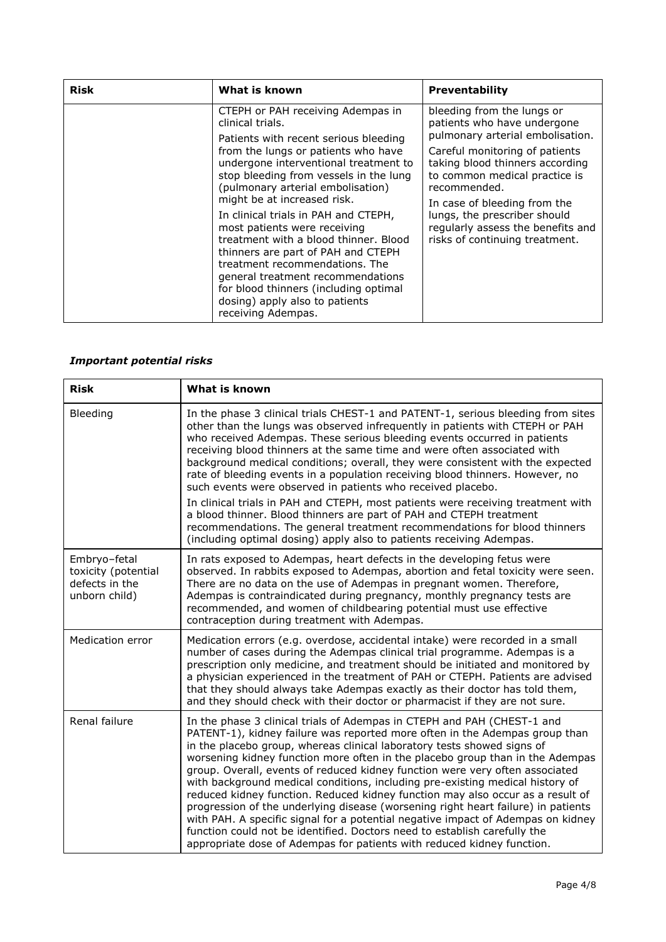| <b>Risk</b> | What is known                                                                                                                                                                                                                                                                                                                                                                                                                                                                                                                                                      | <b>Preventability</b>                                                                                                                                                                  |  |
|-------------|--------------------------------------------------------------------------------------------------------------------------------------------------------------------------------------------------------------------------------------------------------------------------------------------------------------------------------------------------------------------------------------------------------------------------------------------------------------------------------------------------------------------------------------------------------------------|----------------------------------------------------------------------------------------------------------------------------------------------------------------------------------------|--|
|             | CTEPH or PAH receiving Adempas in<br>clinical trials.                                                                                                                                                                                                                                                                                                                                                                                                                                                                                                              | bleeding from the lungs or<br>patients who have undergone                                                                                                                              |  |
|             | Patients with recent serious bleeding<br>from the lungs or patients who have<br>undergone interventional treatment to<br>stop bleeding from vessels in the lung<br>(pulmonary arterial embolisation)<br>might be at increased risk.<br>In clinical trials in PAH and CTEPH,<br>most patients were receiving<br>treatment with a blood thinner. Blood<br>thinners are part of PAH and CTEPH<br>treatment recommendations. The<br>general treatment recommendations<br>for blood thinners (including optimal<br>dosing) apply also to patients<br>receiving Adempas. | pulmonary arterial embolisation.<br>Careful monitoring of patients<br>taking blood thinners according<br>to common medical practice is<br>recommended.<br>In case of bleeding from the |  |
|             |                                                                                                                                                                                                                                                                                                                                                                                                                                                                                                                                                                    | lungs, the prescriber should<br>regularly assess the benefits and<br>risks of continuing treatment.                                                                                    |  |

# *Important potential risks*

| <b>Risk</b>                                                            | What is known                                                                                                                                                                                                                                                                                                                                                                                                                                                                                                                                                                                                                                                                                                                                                                                                                                                                                         |
|------------------------------------------------------------------------|-------------------------------------------------------------------------------------------------------------------------------------------------------------------------------------------------------------------------------------------------------------------------------------------------------------------------------------------------------------------------------------------------------------------------------------------------------------------------------------------------------------------------------------------------------------------------------------------------------------------------------------------------------------------------------------------------------------------------------------------------------------------------------------------------------------------------------------------------------------------------------------------------------|
| Bleeding                                                               | In the phase 3 clinical trials CHEST-1 and PATENT-1, serious bleeding from sites<br>other than the lungs was observed infrequently in patients with CTEPH or PAH<br>who received Adempas. These serious bleeding events occurred in patients<br>receiving blood thinners at the same time and were often associated with<br>background medical conditions; overall, they were consistent with the expected<br>rate of bleeding events in a population receiving blood thinners. However, no<br>such events were observed in patients who received placebo.<br>In clinical trials in PAH and CTEPH, most patients were receiving treatment with<br>a blood thinner. Blood thinners are part of PAH and CTEPH treatment<br>recommendations. The general treatment recommendations for blood thinners<br>(including optimal dosing) apply also to patients receiving Adempas.                            |
| Embryo-fetal<br>toxicity (potential<br>defects in the<br>unborn child) | In rats exposed to Adempas, heart defects in the developing fetus were<br>observed. In rabbits exposed to Adempas, abortion and fetal toxicity were seen.<br>There are no data on the use of Adempas in pregnant women. Therefore,<br>Adempas is contraindicated during pregnancy, monthly pregnancy tests are<br>recommended, and women of childbearing potential must use effective<br>contraception during treatment with Adempas.                                                                                                                                                                                                                                                                                                                                                                                                                                                                 |
| Medication error                                                       | Medication errors (e.g. overdose, accidental intake) were recorded in a small<br>number of cases during the Adempas clinical trial programme. Adempas is a<br>prescription only medicine, and treatment should be initiated and monitored by<br>a physician experienced in the treatment of PAH or CTEPH. Patients are advised<br>that they should always take Adempas exactly as their doctor has told them,<br>and they should check with their doctor or pharmacist if they are not sure.                                                                                                                                                                                                                                                                                                                                                                                                          |
| Renal failure                                                          | In the phase 3 clinical trials of Adempas in CTEPH and PAH (CHEST-1 and<br>PATENT-1), kidney failure was reported more often in the Adempas group than<br>in the placebo group, whereas clinical laboratory tests showed signs of<br>worsening kidney function more often in the placebo group than in the Adempas<br>group. Overall, events of reduced kidney function were very often associated<br>with background medical conditions, including pre-existing medical history of<br>reduced kidney function. Reduced kidney function may also occur as a result of<br>progression of the underlying disease (worsening right heart failure) in patients<br>with PAH. A specific signal for a potential negative impact of Adempas on kidney<br>function could not be identified. Doctors need to establish carefully the<br>appropriate dose of Adempas for patients with reduced kidney function. |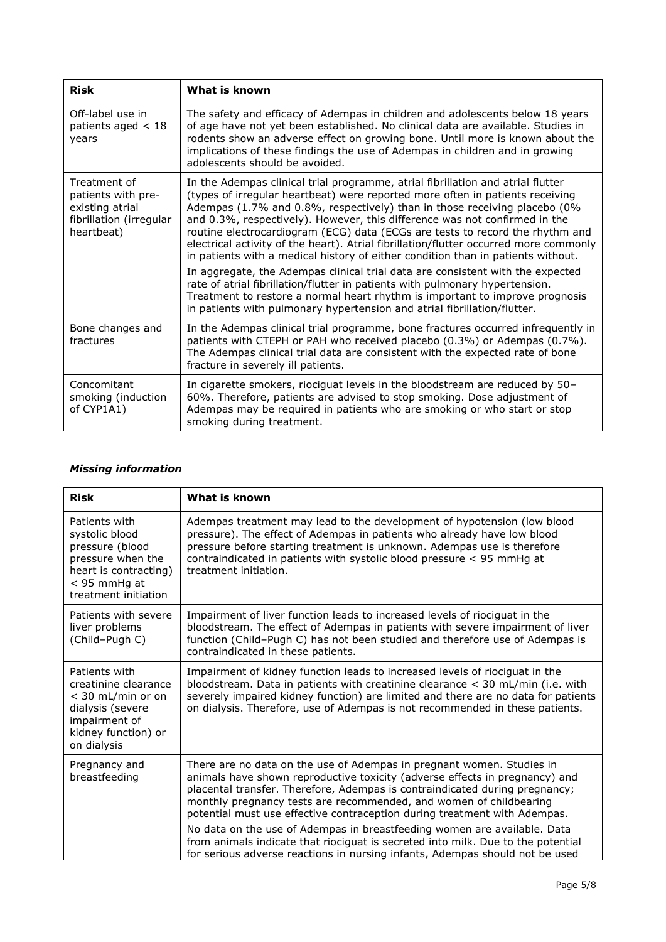| <b>Risk</b>                                                                                    | What is known                                                                                                                                                                                                                                                                                                                                                                                                                                                                                                                                                                             |
|------------------------------------------------------------------------------------------------|-------------------------------------------------------------------------------------------------------------------------------------------------------------------------------------------------------------------------------------------------------------------------------------------------------------------------------------------------------------------------------------------------------------------------------------------------------------------------------------------------------------------------------------------------------------------------------------------|
| Off-label use in<br>patients aged $<$ 18<br>years                                              | The safety and efficacy of Adempas in children and adolescents below 18 years<br>of age have not yet been established. No clinical data are available. Studies in<br>rodents show an adverse effect on growing bone. Until more is known about the<br>implications of these findings the use of Adempas in children and in growing<br>adolescents should be avoided.                                                                                                                                                                                                                      |
| Treatment of<br>patients with pre-<br>existing atrial<br>fibrillation (irregular<br>heartbeat) | In the Adempas clinical trial programme, atrial fibrillation and atrial flutter<br>(types of irregular heartbeat) were reported more often in patients receiving<br>Adempas (1.7% and 0.8%, respectively) than in those receiving placebo (0%<br>and 0.3%, respectively). However, this difference was not confirmed in the<br>routine electrocardiogram (ECG) data (ECGs are tests to record the rhythm and<br>electrical activity of the heart). Atrial fibrillation/flutter occurred more commonly<br>in patients with a medical history of either condition than in patients without. |
|                                                                                                | In aggregate, the Adempas clinical trial data are consistent with the expected<br>rate of atrial fibrillation/flutter in patients with pulmonary hypertension.<br>Treatment to restore a normal heart rhythm is important to improve prognosis<br>in patients with pulmonary hypertension and atrial fibrillation/flutter.                                                                                                                                                                                                                                                                |
| Bone changes and<br>fractures                                                                  | In the Adempas clinical trial programme, bone fractures occurred infrequently in<br>patients with CTEPH or PAH who received placebo (0.3%) or Adempas (0.7%).<br>The Adempas clinical trial data are consistent with the expected rate of bone<br>fracture in severely ill patients.                                                                                                                                                                                                                                                                                                      |
| Concomitant<br>smoking (induction<br>of CYP1A1)                                                | In cigarette smokers, riociguat levels in the bloodstream are reduced by 50-<br>60%. Therefore, patients are advised to stop smoking. Dose adjustment of<br>Adempas may be required in patients who are smoking or who start or stop<br>smoking during treatment.                                                                                                                                                                                                                                                                                                                         |

## *Missing information*

| <b>Risk</b>                                                                                                                              | What is known                                                                                                                                                                                                                                                                                                                                                                          |
|------------------------------------------------------------------------------------------------------------------------------------------|----------------------------------------------------------------------------------------------------------------------------------------------------------------------------------------------------------------------------------------------------------------------------------------------------------------------------------------------------------------------------------------|
| Patients with<br>systolic blood<br>pressure (blood<br>pressure when the<br>heart is contracting)<br>< 95 mmHg at<br>treatment initiation | Adempas treatment may lead to the development of hypotension (low blood<br>pressure). The effect of Adempas in patients who already have low blood<br>pressure before starting treatment is unknown. Adempas use is therefore<br>contraindicated in patients with systolic blood pressure < 95 mmHg at<br>treatment initiation.                                                        |
| Patients with severe<br>liver problems<br>(Child-Pugh C)                                                                                 | Impairment of liver function leads to increased levels of riociguat in the<br>bloodstream. The effect of Adempas in patients with severe impairment of liver<br>function (Child-Pugh C) has not been studied and therefore use of Adempas is<br>contraindicated in these patients.                                                                                                     |
| Patients with<br>creatinine clearance<br>< 30 mL/min or on<br>dialysis (severe<br>impairment of<br>kidney function) or<br>on dialysis    | Impairment of kidney function leads to increased levels of riociguat in the<br>bloodstream. Data in patients with creatinine clearance $<$ 30 mL/min (i.e. with<br>severely impaired kidney function) are limited and there are no data for patients<br>on dialysis. Therefore, use of Adempas is not recommended in these patients.                                                   |
| Pregnancy and<br>breastfeeding                                                                                                           | There are no data on the use of Adempas in pregnant women. Studies in<br>animals have shown reproductive toxicity (adverse effects in pregnancy) and<br>placental transfer. Therefore, Adempas is contraindicated during pregnancy;<br>monthly pregnancy tests are recommended, and women of childbearing<br>potential must use effective contraception during treatment with Adempas. |
|                                                                                                                                          | No data on the use of Adempas in breastfeeding women are available. Data<br>from animals indicate that riociguat is secreted into milk. Due to the potential<br>for serious adverse reactions in nursing infants, Adempas should not be used                                                                                                                                           |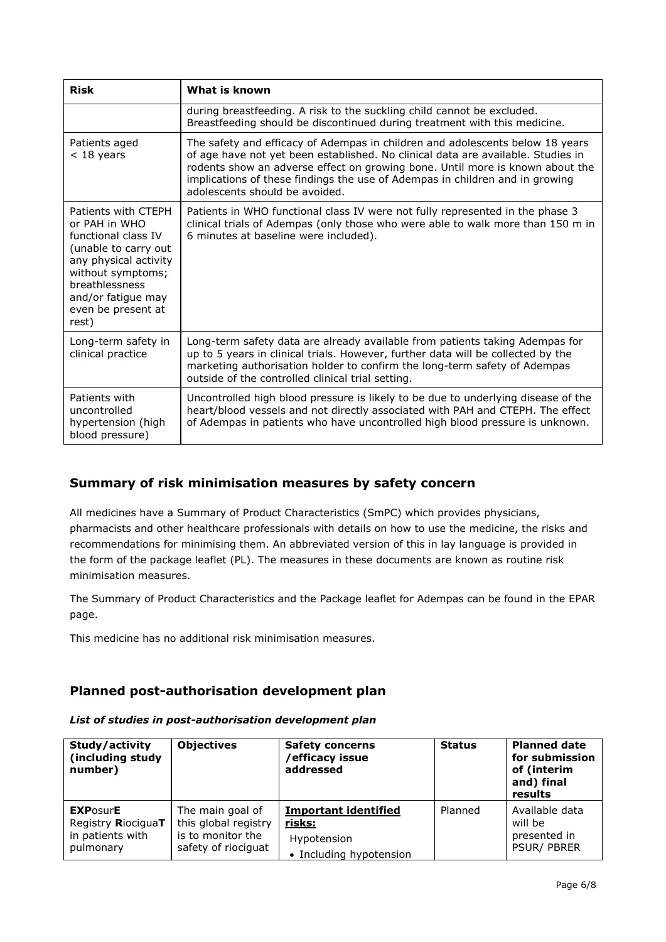| <b>Risk</b>                                                                                                                                                                                              | What is known                                                                                                                                                                                                                                                                                                                                                        |  |  |
|----------------------------------------------------------------------------------------------------------------------------------------------------------------------------------------------------------|----------------------------------------------------------------------------------------------------------------------------------------------------------------------------------------------------------------------------------------------------------------------------------------------------------------------------------------------------------------------|--|--|
|                                                                                                                                                                                                          | during breastfeeding. A risk to the suckling child cannot be excluded.<br>Breastfeeding should be discontinued during treatment with this medicine.                                                                                                                                                                                                                  |  |  |
| Patients aged<br>$<$ 18 years                                                                                                                                                                            | The safety and efficacy of Adempas in children and adolescents below 18 years<br>of age have not yet been established. No clinical data are available. Studies in<br>rodents show an adverse effect on growing bone. Until more is known about the<br>implications of these findings the use of Adempas in children and in growing<br>adolescents should be avoided. |  |  |
| Patients with CTEPH<br>or PAH in WHO<br>functional class IV<br>(unable to carry out<br>any physical activity<br>without symptoms;<br>breathlessness<br>and/or fatigue may<br>even be present at<br>rest) | Patients in WHO functional class IV were not fully represented in the phase 3<br>clinical trials of Adempas (only those who were able to walk more than 150 m in<br>6 minutes at baseline were included).                                                                                                                                                            |  |  |
| Long-term safety in<br>clinical practice                                                                                                                                                                 | Long-term safety data are already available from patients taking Adempas for<br>up to 5 years in clinical trials. However, further data will be collected by the<br>marketing authorisation holder to confirm the long-term safety of Adempas<br>outside of the controlled clinical trial setting.                                                                   |  |  |
| Patients with<br>uncontrolled<br>hypertension (high<br>blood pressure)                                                                                                                                   | Uncontrolled high blood pressure is likely to be due to underlying disease of the<br>heart/blood vessels and not directly associated with PAH and CTEPH. The effect<br>of Adempas in patients who have uncontrolled high blood pressure is unknown.                                                                                                                  |  |  |

# **Summary of risk minimisation measures by safety concern**

All medicines have a Summary of Product Characteristics (SmPC) which provides physicians, pharmacists and other healthcare professionals with details on how to use the medicine, the risks and recommendations for minimising them. An abbreviated version of this in lay language is provided in the form of the package leaflet (PL). The measures in these documents are known as routine risk minimisation measures.

The Summary of Product Characteristics and the Package leaflet for Adempas can be found in the EPAR page.

This medicine has no additional risk minimisation measures.

# **Planned post-authorisation development plan**

| Study/activity<br>(including study<br>number) | <b>Objectives</b>    | <b>Safety concerns</b><br>/efficacy issue<br>addressed | <b>Status</b> | <b>Planned date</b><br>for submission<br>of (interim<br>and) final<br>results |
|-----------------------------------------------|----------------------|--------------------------------------------------------|---------------|-------------------------------------------------------------------------------|
| <b>EXPOSURE</b>                               | The main goal of     | <b>Important identified</b>                            | Planned       | Available data                                                                |
| Registry RiociguaT                            | this global registry | risks:                                                 |               | will be                                                                       |
| in patients with                              | is to monitor the    | Hypotension                                            |               | presented in                                                                  |
| pulmonary                                     | safety of riociguat  | • Including hypotension                                |               | <b>PSUR/PBRER</b>                                                             |

#### *List of studies in post-authorisation development plan*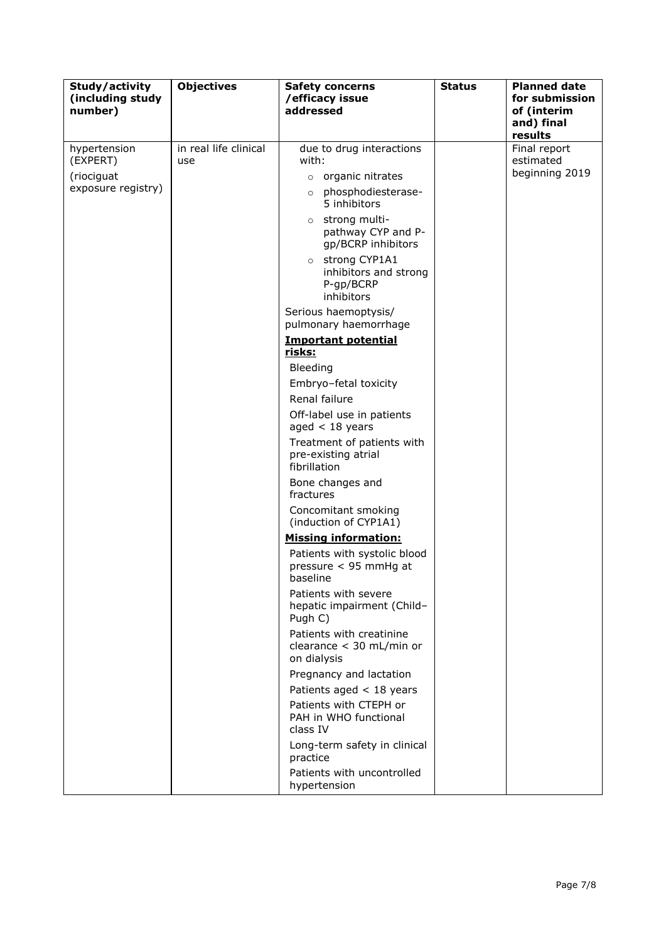| Study/activity<br>(including study<br>number)                | <b>Objectives</b>            | <b>Safety concerns</b><br>/efficacy issue<br>addressed                                                                                                                                                                                                                                                                                                                                                                                                                                                                                                                                                                                                                                                                                                                                                                                                                                                                                                                                          | <b>Status</b> | <b>Planned date</b><br>for submission<br>of (interim<br>and) final<br>results |
|--------------------------------------------------------------|------------------------------|-------------------------------------------------------------------------------------------------------------------------------------------------------------------------------------------------------------------------------------------------------------------------------------------------------------------------------------------------------------------------------------------------------------------------------------------------------------------------------------------------------------------------------------------------------------------------------------------------------------------------------------------------------------------------------------------------------------------------------------------------------------------------------------------------------------------------------------------------------------------------------------------------------------------------------------------------------------------------------------------------|---------------|-------------------------------------------------------------------------------|
| hypertension<br>(EXPERT)<br>(riociguat<br>exposure registry) | in real life clinical<br>use | due to drug interactions<br>with:<br>organic nitrates<br>$\circ$<br>phosphodiesterase-<br>$\circ$<br>5 inhibitors<br>strong multi-<br>$\circ$<br>pathway CYP and P-<br>gp/BCRP inhibitors<br>strong CYP1A1<br>$\circ$<br>inhibitors and strong<br>P-gp/BCRP<br>inhibitors<br>Serious haemoptysis/<br>pulmonary haemorrhage<br><b>Important potential</b><br><u>risks:</u><br>Bleeding<br>Embryo-fetal toxicity<br>Renal failure<br>Off-label use in patients<br>aged $<$ 18 years<br>Treatment of patients with<br>pre-existing atrial<br>fibrillation<br>Bone changes and<br>fractures<br>Concomitant smoking<br>(induction of CYP1A1)<br><b>Missing information:</b><br>Patients with systolic blood<br>pressure < 95 mmHg at<br>baseline<br>Patients with severe<br>hepatic impairment (Child-<br>Pugh C)<br>Patients with creatinine<br>clearance < 30 mL/min or<br>on dialysis<br>Pregnancy and lactation<br>Patients aged $<$ 18 years<br>Patients with CTEPH or<br>PAH in WHO functional |               | Final report<br>estimated<br>beginning 2019                                   |
|                                                              |                              | class IV<br>Long-term safety in clinical<br>practice<br>Patients with uncontrolled<br>hypertension                                                                                                                                                                                                                                                                                                                                                                                                                                                                                                                                                                                                                                                                                                                                                                                                                                                                                              |               |                                                                               |